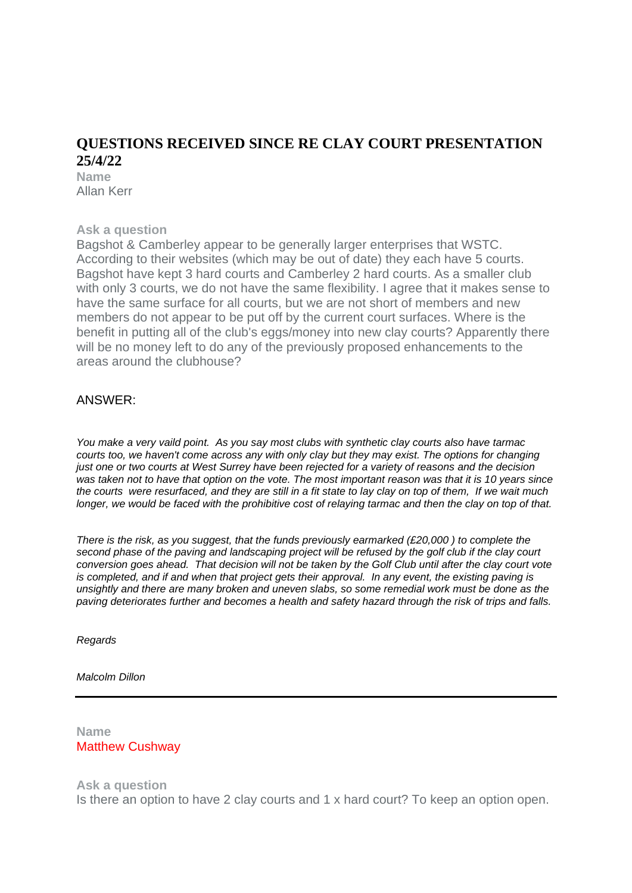# **QUESTIONS RECEIVED SINCE RE CLAY COURT PRESENTATION 25/4/22**

**Name** Allan Kerr

### **Ask a question**

Bagshot & Camberley appear to be generally larger enterprises that WSTC. According to their websites (which may be out of date) they each have 5 courts. Bagshot have kept 3 hard courts and Camberley 2 hard courts. As a smaller club with only 3 courts, we do not have the same flexibility. I agree that it makes sense to have the same surface for all courts, but we are not short of members and new members do not appear to be put off by the current court surfaces. Where is the benefit in putting all of the club's eggs/money into new clay courts? Apparently there will be no money left to do any of the previously proposed enhancements to the areas around the clubhouse?

# ANSWER:

*You make a very vaild point. As you say most clubs with synthetic clay courts also have tarmac courts too, we haven't come across any with only clay but they may exist. The options for changing* just one or two courts at West Surrey have been rejected for a variety of reasons and the decision was taken not to have that option on the vote. The most important reason was that it is 10 years since the courts were resurfaced, and they are still in a fit state to lay clay on top of them, If we wait much longer, we would be faced with the prohibitive cost of relaying tarmac and then the clay on top of that.

*There is the risk, as you suggest, that the funds previously earmarked (£20,000 ) to complete the* second phase of the paving and landscaping project will be refused by the golf club if the clay court conversion goes ahead. That decision will not be taken by the Golf Club until after the clay court vote is completed, and if and when that project gets their approval. In any event, the existing paving is *unsightly and there are many broken and uneven slabs, so some remedial work must be done as the paving deteriorates further and becomes a health and safety hazard through the risk of trips and falls.*

*Regards*

*Malcolm Dillon*

**Name** Matthew Cushway

### **Ask a question**

Is there an option to have 2 clay courts and 1 x hard court? To keep an option open.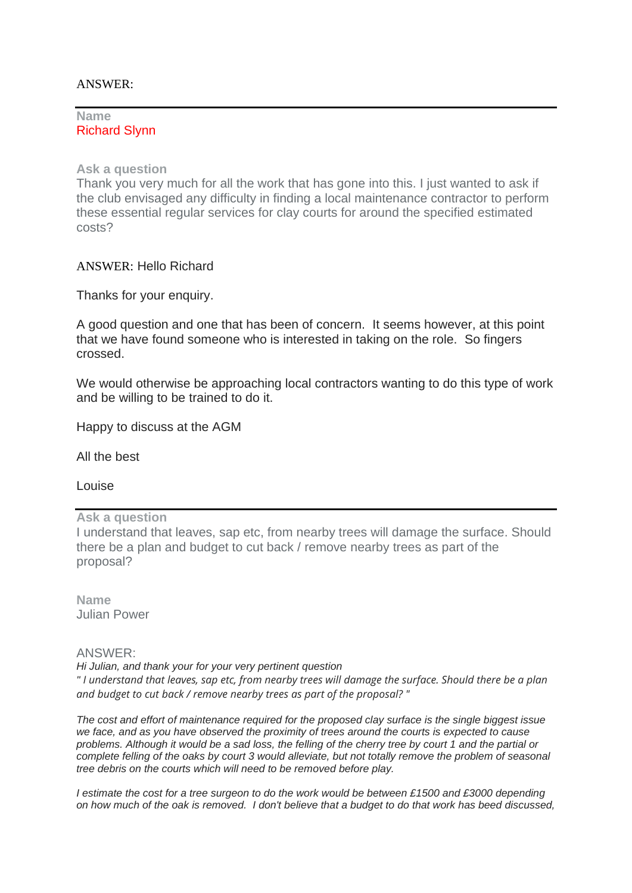### ANSWER:

### **Name** Richard Slynn

**Ask a question**

Thank you very much for all the work that has gone into this. I just wanted to ask if the club envisaged any difficulty in finding a local maintenance contractor to perform these essential regular services for clay courts for around the specified estimated costs?

ANSWER: Hello Richard

Thanks for your enquiry.

A good question and one that has been of concern. It seems however, at this point that we have found someone who is interested in taking on the role. So fingers crossed.

We would otherwise be approaching local contractors wanting to do this type of work and be willing to be trained to do it.

Happy to discuss at the AGM

All the best

Louise

**Ask a question**

I understand that leaves, sap etc, from nearby trees will damage the surface. Should there be a plan and budget to cut back / remove nearby trees as part of the proposal?

**Name** Julian Power

ANSWER:

*Hi Julian, and thank your for your very pertinent question " I understand that leaves, sap etc, from nearby trees will damage the surface. Should there be a plan and budget to cut back / remove nearby trees as part of the proposal? "*

*The cost and effort of maintenance required for the proposed clay surface is the single biggest issue we face, and as you have observed the proximity of trees around the courts is expected to cause problems. Although it would be a sad loss, the felling of the cherry tree by court 1 and the partial or complete felling of the oaks by court 3 would alleviate, but not totally remove the problem of seasonal tree debris on the courts which will need to be removed before play.*

*I* estimate the cost for a tree surgeon to do the work would be between £1500 and £3000 depending *on how much of the oak is removed. I don't believe that a budget to do that work has beed discussed,*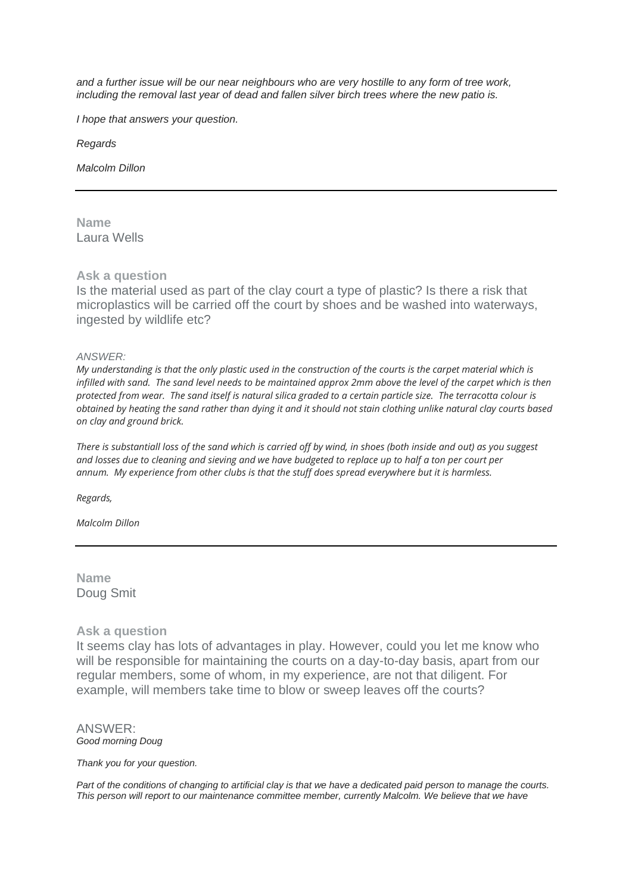*and a further issue will be our near neighbours who are very hostille to any form of tree work, including the removal last year of dead and fallen silver birch trees where the new patio is.*

*I hope that answers your question.*

*Regards*

*Malcolm Dillon*

**Name** Laura Wells

### **Ask a question**

Is the material used as part of the clay court a type of plastic? Is there a risk that microplastics will be carried off the court by shoes and be washed into waterways, ingested by wildlife etc?

### *ANSWER:*

*My understanding is that the only plastic used in the construction of the courts is the carpet material which is infilled with sand. The sand level needs to be maintained approx 2mm above the level of the carpet which is then protected from wear. The sand itself is natural silica graded to a certain particle size. The terracotta colour is obtained by heating the sand rather than dying it and it should not stain clothing unlike natural clay courts based on clay and ground brick.*

*There is substantiall loss of the sand which is carried off by wind, in shoes (both inside and out) as you suggest and losses due to cleaning and sieving and we have budgeted to replace up to half a ton per court per annum. My experience from other clubs is that the stuff does spread everywhere but it is harmless.*

*Regards,*

*Malcolm Dillon*

**Name** Doug Smit

### **Ask a question**

It seems clay has lots of advantages in play. However, could you let me know who will be responsible for maintaining the courts on a day-to-day basis, apart from our regular members, some of whom, in my experience, are not that diligent. For example, will members take time to blow or sweep leaves off the courts?

#### ANSWER: *Good morning Doug*

#### *Thank you for your question.*

Part of the conditions of changing to artificial clay is that we have a dedicated paid person to manage the courts. *This person will report to our maintenance committee member, currently Malcolm. We believe that we have*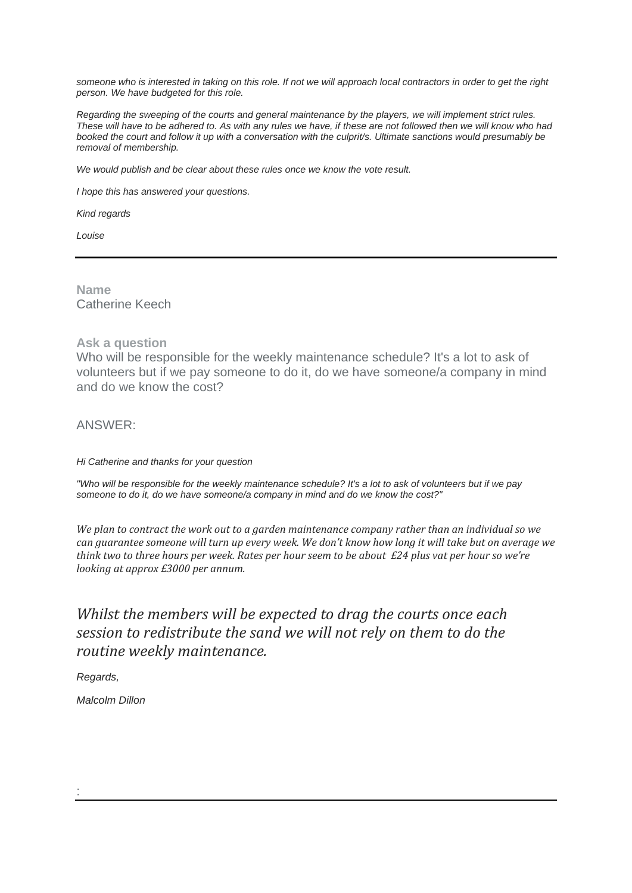*someone who is interested in taking on this role. If not we will approach local contractors in order to get the right person. We have budgeted for this role.*

*Regarding the sweeping of the courts and general maintenance by the players, we will implement strict rules. These will have to be adhered to. As with any rules we have, if these are not followed then we will know who had booked the court and follow it up with a conversation with the culprit/s. Ultimate sanctions would presumably be removal of membership.*

*We would publish and be clear about these rules once we know the vote result.*

*I hope this has answered your questions.*

*Kind regards*

*Louise*

**Name** Catherine Keech

### **Ask a question**

Who will be responsible for the weekly maintenance schedule? It's a lot to ask of volunteers but if we pay someone to do it, do we have someone/a company in mind and do we know the cost?

ANSWER:

*Hi Catherine and thanks for your question*

*"Who will be responsible for the weekly maintenance schedule? It's a lot to ask of volunteers but if we pay someone to do it, do we have someone/a company in mind and do we know the cost?"*

*We plan to contract the work out to a garden maintenance company rather than an individual so we can guarantee someone will turn up every week. We don't know how long it will take but on average we think two to three hours per week. Rates per hour seem to be about £24 plus vat per hour so we're looking at approx £3000 per annum.*

# *Whilst the members will be expected to drag the courts once each session to redistribute the sand we will not rely on them to do the routine weekly maintenance.*

*Regards,*

*Malcolm Dillon*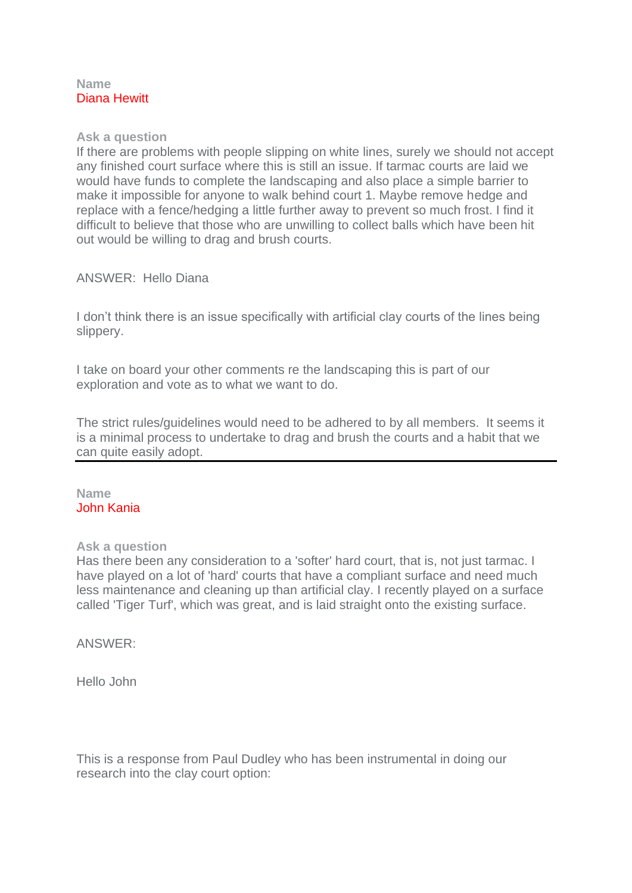## **Name** Diana Hewitt

## **Ask a question**

If there are problems with people slipping on white lines, surely we should not accept any finished court surface where this is still an issue. If tarmac courts are laid we would have funds to complete the landscaping and also place a simple barrier to make it impossible for anyone to walk behind court 1. Maybe remove hedge and replace with a fence/hedging a little further away to prevent so much frost. I find it difficult to believe that those who are unwilling to collect balls which have been hit out would be willing to drag and brush courts.

# ANSWER: Hello Diana

I don't think there is an issue specifically with artificial clay courts of the lines being slippery.

I take on board your other comments re the landscaping this is part of our exploration and vote as to what we want to do.

The strict rules/guidelines would need to be adhered to by all members. It seems it is a minimal process to undertake to drag and brush the courts and a habit that we can quite easily adopt.

## **Name** John Kania

### **Ask a question**

Has there been any consideration to a 'softer' hard court, that is, not just tarmac. I have played on a lot of 'hard' courts that have a compliant surface and need much less maintenance and cleaning up than artificial clay. I recently played on a surface called 'Tiger Turf', which was great, and is laid straight onto the existing surface.

ANSWER:

Hello John

This is a response from Paul Dudley who has been instrumental in doing our research into the clay court option: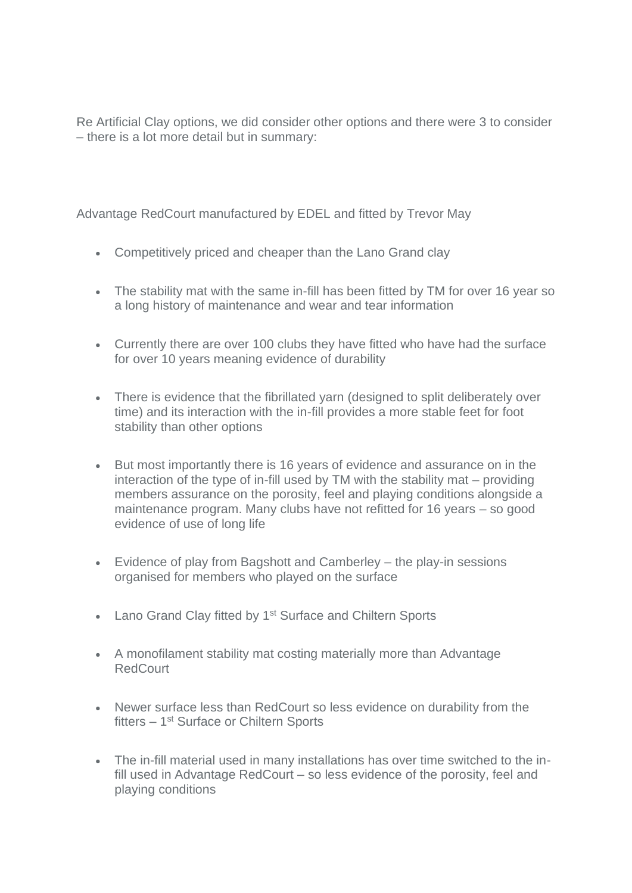Re Artificial Clay options, we did consider other options and there were 3 to consider – there is a lot more detail but in summary:

Advantage RedCourt manufactured by EDEL and fitted by Trevor May

- Competitively priced and cheaper than the Lano Grand clay
- The stability mat with the same in-fill has been fitted by TM for over 16 year so a long history of maintenance and wear and tear information
- Currently there are over 100 clubs they have fitted who have had the surface for over 10 years meaning evidence of durability
- There is evidence that the fibrillated yarn (designed to split deliberately over time) and its interaction with the in-fill provides a more stable feet for foot stability than other options
- But most importantly there is 16 years of evidence and assurance on in the interaction of the type of in-fill used by TM with the stability mat – providing members assurance on the porosity, feel and playing conditions alongside a maintenance program. Many clubs have not refitted for 16 years – so good evidence of use of long life
- Evidence of play from Bagshott and Camberley the play-in sessions organised for members who played on the surface
- Lano Grand Clay fitted by 1<sup>st</sup> Surface and Chiltern Sports
- A monofilament stability mat costing materially more than Advantage RedCourt
- Newer surface less than RedCourt so less evidence on durability from the fitters - 1<sup>st</sup> Surface or Chiltern Sports
- The in-fill material used in many installations has over time switched to the infill used in Advantage RedCourt – so less evidence of the porosity, feel and playing conditions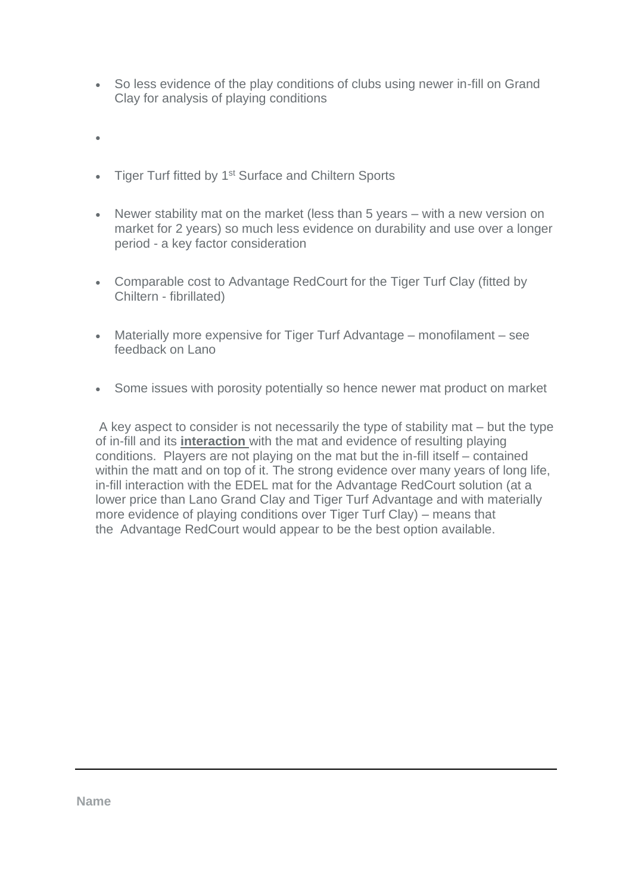- So less evidence of the play conditions of clubs using newer in-fill on Grand Clay for analysis of playing conditions
- •
- Tiger Turf fitted by 1<sup>st</sup> Surface and Chiltern Sports
- Newer stability mat on the market (less than 5 years with a new version on market for 2 years) so much less evidence on durability and use over a longer period - a key factor consideration
- Comparable cost to Advantage RedCourt for the Tiger Turf Clay (fitted by Chiltern - fibrillated)
- Materially more expensive for Tiger Turf Advantage monofilament see feedback on Lano
- Some issues with porosity potentially so hence newer mat product on market

A key aspect to consider is not necessarily the type of stability mat – but the type of in-fill and its **interaction** with the mat and evidence of resulting playing conditions. Players are not playing on the mat but the in-fill itself – contained within the matt and on top of it. The strong evidence over many vears of long life, in-fill interaction with the EDEL mat for the Advantage RedCourt solution (at a lower price than Lano Grand Clay and Tiger Turf Advantage and with materially more evidence of playing conditions over Tiger Turf Clay) – means that the Advantage RedCourt would appear to be the best option available.